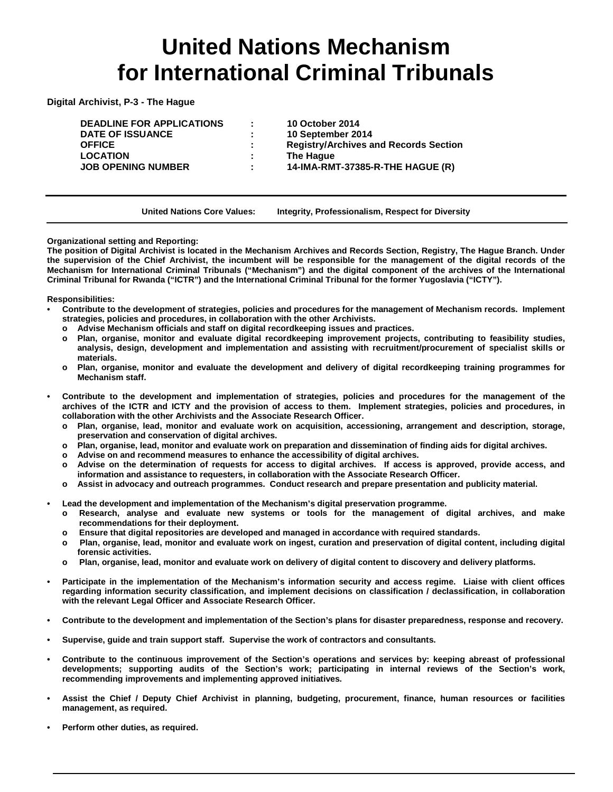# **United Nations Mechanism for International Criminal Tribunals**

**Digital Archivist, P-3 - The Hague** 

**DEADLINE FOR APPLICATIONS : 10 October 2014 DATE OF ISSUANCE : 10 September 2014 LOCATION : The Hague** 

**OFFICE : Registry/Archives and Records Section JOB OPENING NUMBER : 14-IMA-RMT-37385-R-THE HAGUE (R)** 

**United Nations Core Values: Integrity, Professionalism, Respect for Diversity** 

**Organizational setting and Reporting:** 

**The position of Digital Archivist is located in the Mechanism Archives and Records Section, Registry, The Hague Branch. Under the supervision of the Chief Archivist, the incumbent will be responsible for the management of the digital records of the Mechanism for International Criminal Tribunals ("Mechanism") and the digital component of the archives of the International Criminal Tribunal for Rwanda ("ICTR") and the International Criminal Tribunal for the former Yugoslavia ("ICTY").** 

**Responsibilities:** 

l

- **Contribute to the development of strategies, policies and procedures for the management of Mechanism records. Implement strategies, policies and procedures, in collaboration with the other Archivists.** 
	- **o Advise Mechanism officials and staff on digital recordkeeping issues and practices.**
	- **o Plan, organise, monitor and evaluate digital recordkeeping improvement projects, contributing to feasibility studies, analysis, design, development and implementation and assisting with recruitment/procurement of specialist skills or materials.**
	- **o Plan, organise, monitor and evaluate the development and delivery of digital recordkeeping training programmes for Mechanism staff.**
- **Contribute to the development and implementation of strategies, policies and procedures for the management of the archives of the ICTR and ICTY and the provision of access to them. Implement strategies, policies and procedures, in collaboration with the other Archivists and the Associate Research Officer.** 
	- **o Plan, organise, lead, monitor and evaluate work on acquisition, accessioning, arrangement and description, storage, preservation and conservation of digital archives.**
	- **o Plan, organise, lead, monitor and evaluate work on preparation and dissemination of finding aids for digital archives.**
	- **o Advise on and recommend measures to enhance the accessibility of digital archives.**
	- **o Advise on the determination of requests for access to digital archives. If access is approved, provide access, and information and assistance to requesters, in collaboration with the Associate Research Officer.**
	- **o Assist in advocacy and outreach programmes. Conduct research and prepare presentation and publicity material.**
- **Lead the development and implementation of the Mechanism's digital preservation programme.** 
	- **o Research, analyse and evaluate new systems or tools for the management of digital archives, and make recommendations for their deployment.**
	- **o Ensure that digital repositories are developed and managed in accordance with required standards.**
	- **o Plan, organise, lead, monitor and evaluate work on ingest, curation and preservation of digital content, including digital forensic activities.**
	- **o Plan, organise, lead, monitor and evaluate work on delivery of digital content to discovery and delivery platforms.**
- **Participate in the implementation of the Mechanism's information security and access regime. Liaise with client offices regarding information security classification, and implement decisions on classification / declassification, in collaboration with the relevant Legal Officer and Associate Research Officer.**
- **Contribute to the development and implementation of the Section's plans for disaster preparedness, response and recovery.**
- **Supervise, guide and train support staff. Supervise the work of contractors and consultants.**
- **Contribute to the continuous improvement of the Section's operations and services by: keeping abreast of professional developments; supporting audits of the Section's work; participating in internal reviews of the Section's work, recommending improvements and implementing approved initiatives.**
- **Assist the Chief / Deputy Chief Archivist in planning, budgeting, procurement, finance, human resources or facilities management, as required.**
- **Perform other duties, as required.**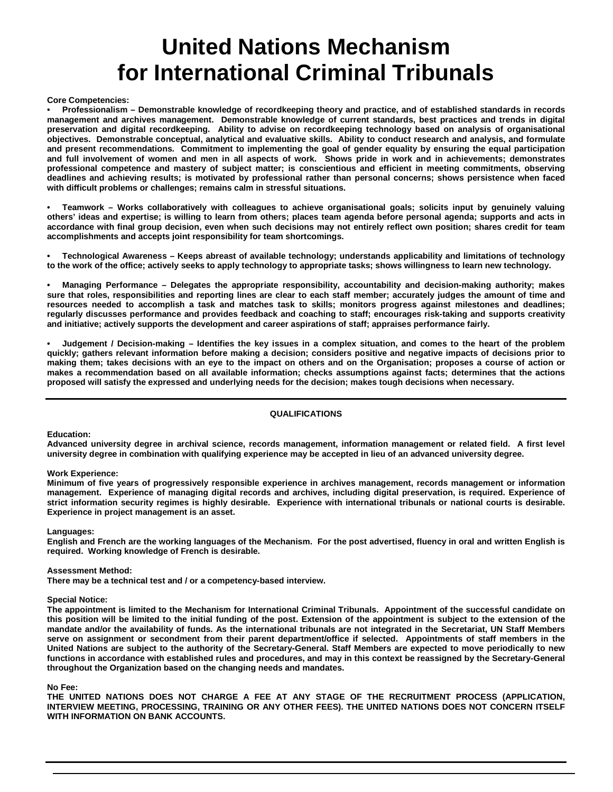# **United Nations Mechanism for International Criminal Tribunals**

## **Core Competencies:**

**• Professionalism – Demonstrable knowledge of recordkeeping theory and practice, and of established standards in records management and archives management. Demonstrable knowledge of current standards, best practices and trends in digital preservation and digital recordkeeping. Ability to advise on recordkeeping technology based on analysis of organisational objectives. Demonstrable conceptual, analytical and evaluative skills. Ability to conduct research and analysis, and formulate and present recommendations. Commitment to implementing the goal of gender equality by ensuring the equal participation and full involvement of women and men in all aspects of work. Shows pride in work and in achievements; demonstrates professional competence and mastery of subject matter; is conscientious and efficient in meeting commitments, observing deadlines and achieving results; is motivated by professional rather than personal concerns; shows persistence when faced with difficult problems or challenges; remains calm in stressful situations.** 

**• Teamwork – Works collaboratively with colleagues to achieve organisational goals; solicits input by genuinely valuing others' ideas and expertise; is willing to learn from others; places team agenda before personal agenda; supports and acts in accordance with final group decision, even when such decisions may not entirely reflect own position; shares credit for team accomplishments and accepts joint responsibility for team shortcomings.** 

**• Technological Awareness – Keeps abreast of available technology; understands applicability and limitations of technology to the work of the office; actively seeks to apply technology to appropriate tasks; shows willingness to learn new technology.** 

**• Managing Performance – Delegates the appropriate responsibility, accountability and decision-making authority; makes sure that roles, responsibilities and reporting lines are clear to each staff member; accurately judges the amount of time and resources needed to accomplish a task and matches task to skills; monitors progress against milestones and deadlines; regularly discusses performance and provides feedback and coaching to staff; encourages risk-taking and supports creativity and initiative; actively supports the development and career aspirations of staff; appraises performance fairly.** 

**• Judgement / Decision-making – Identifies the key issues in a complex situation, and comes to the heart of the problem quickly; gathers relevant information before making a decision; considers positive and negative impacts of decisions prior to making them; takes decisions with an eye to the impact on others and on the Organisation; proposes a course of action or makes a recommendation based on all available information; checks assumptions against facts; determines that the actions proposed will satisfy the expressed and underlying needs for the decision; makes tough decisions when necessary.** 

## **QUALIFICATIONS**

## **Education:**

**Advanced university degree in archival science, records management, information management or related field. A first level university degree in combination with qualifying experience may be accepted in lieu of an advanced university degree.** 

## **Work Experience:**

**Minimum of five years of progressively responsible experience in archives management, records management or information management. Experience of managing digital records and archives, including digital preservation, is required. Experience of strict information security regimes is highly desirable. Experience with international tribunals or national courts is desirable. Experience in project management is an asset.** 

## **Languages:**

**English and French are the working languages of the Mechanism. For the post advertised, fluency in oral and written English is required. Working knowledge of French is desirable.** 

#### **Assessment Method:**

**There may be a technical test and / or a competency-based interview.** 

## **Special Notice:**

**The appointment is limited to the Mechanism for International Criminal Tribunals. Appointment of the successful candidate on this position will be limited to the initial funding of the post. Extension of the appointment is subject to the extension of the mandate and/or the availability of funds. As the international tribunals are not integrated in the Secretariat, UN Staff Members serve on assignment or secondment from their parent department/office if selected. Appointments of staff members in the United Nations are subject to the authority of the Secretary-General. Staff Members are expected to move periodically to new functions in accordance with established rules and procedures, and may in this context be reassigned by the Secretary-General throughout the Organization based on the changing needs and mandates.** 

**No Fee:** 

**THE UNITED NATIONS DOES NOT CHARGE A FEE AT ANY STAGE OF THE RECRUITMENT PROCESS (APPLICATION, INTERVIEW MEETING, PROCESSING, TRAINING OR ANY OTHER FEES). THE UNITED NATIONS DOES NOT CONCERN ITSELF WITH INFORMATION ON BANK ACCOUNTS.**